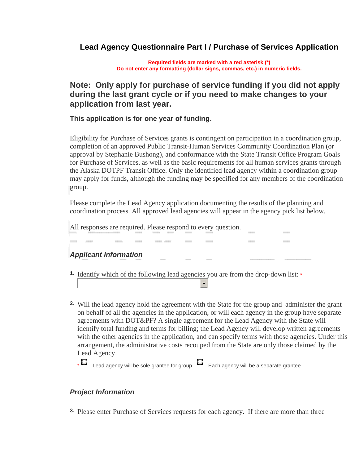# **Lead Agency Questionnaire Part I / Purchase of Services Application**

**Required fields are marked with a red asterisk (\*) Do not enter any formatting (dollar signs, commas, etc.) in numeric fields.** 

# **Note: Only apply for purchase of service funding if you did not apply during the last grant cycle or if you need to make changes to your application from last year.**

## **This application is for one year of funding.**

Eligibility for Purchase of Services grants is contingent on participation in a coordination group, completion of an approved Public Transit-Human Services Community Coordination Plan (or approval by Stephanie Bushong), and conformance with the State Transit Office Program Goals for Purchase of Services, as well as the basic requirements for all human services grants through the Alaska DOTPF Transit Office. Only the identified lead agency within a coordination group may apply for funds, although the funding may be specified for any members of the coordination group.

Please complete the Lead Agency application documenting the results of the planning and coordination process. All approved lead agencies will appear in the agency pick list below.

All responses are required. Please respond to every question.

## *Applicant Information*

- <sup>1</sup> Identify which of the following lead agencies you are from the drop-down list: \*
- Will the lead agency hold the agreement with the State for the group and administer the grant **2.**  on behalf of all the agencies in the application, or will each agency in the group have separate agreements with DOT&PF? A single agreement for the Lead Agency with the State will identify total funding and terms for billing; the Lead Agency will develop written agreements with the other agencies in the application, and can specify terms with those agencies. Under this arrangement, the administrative costs recouped from the State are only those claimed by the Lead Agency.

 $\mathbf{r}$ 

 $\overline{\bullet}$  Lead agency will be sole grantee for group  $\overline{\bullet}$  Each agency will be a separate grantee

## *Project Information*

**3.** Please enter Purchase of Services requests for each agency. If there are more than three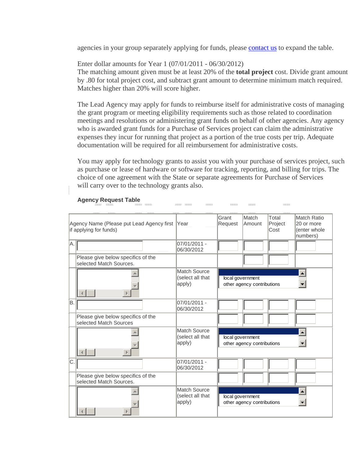agencies in your group separately applying for funds, please [contact us](http://mailto:nancy.webb@alaska.gov/) to expand the table.

Enter dollar amounts for Year 1 (07/01/2011 - 06/30/2012) The matching amount given must be at least 20% of the **total project** cost. Divide grant amount by .80 for total project cost, and subtract grant amount to determine minimum match required. Matches higher than 20% will score higher.

The Lead Agency may apply for funds to reimburse itself for administrative costs of managing the grant program or meeting eligibility requirements such as those related to coordination meetings and resolutions or administering grant funds on behalf of other agencies. Any agency who is awarded grant funds for a Purchase of Services project can claim the administrative expenses they incur for running that project as a portion of the true costs per trip. Adequate documentation will be required for all reimbursement for administrative costs.

You may apply for technology grants to assist you with your purchase of services project, such as purchase or lease of hardware or software for tracking, reporting, and billing for trips. The choice of one agreement with the State or separate agreements for Purchase of Services will carry over to the technology grants also.

|                                                                          |                                                               |                                                   | Grant            | Match                      | Total           | <b>Match Ratio</b>                      |
|--------------------------------------------------------------------------|---------------------------------------------------------------|---------------------------------------------------|------------------|----------------------------|-----------------|-----------------------------------------|
| Agency Name (Please put Lead Agency first Year<br>if applying for funds) |                                                               |                                                   | Request          | Amount                     | Project<br>Cost | 20 or more<br>(enter whole)<br>numbers) |
| Α.                                                                       |                                                               | 07/01/2011 -<br>06/30/2012                        |                  |                            |                 |                                         |
|                                                                          | Please give below specifics of the<br>selected Match Sources. |                                                   |                  |                            |                 |                                         |
|                                                                          | Þ                                                             | Match Source<br>(select all that<br>apply)        | local government | other agency contributions |                 | ٠                                       |
| Β.                                                                       |                                                               | 07/01/2011 -<br>06/30/2012                        |                  |                            |                 |                                         |
|                                                                          | Please give below specifics of the<br>selected Match Sources  |                                                   |                  |                            |                 |                                         |
|                                                                          | Þ                                                             | Match Source<br>(select all that<br>apply)        | local government | other agency contributions |                 | ٠                                       |
| C.                                                                       |                                                               | 07/01/2011 -<br>06/30/2012                        |                  |                            |                 |                                         |
|                                                                          | Please give below specifics of the<br>selected Match Sources. |                                                   |                  |                            |                 |                                         |
|                                                                          |                                                               | <b>Match Source</b><br>(select all that<br>apply) | local government | other agency contributions |                 |                                         |

#### **Agency Request Table**

 $\begin{tabular}{ll} \bf 0.333337 & \tt 0.3333333 \\ \end{tabular}$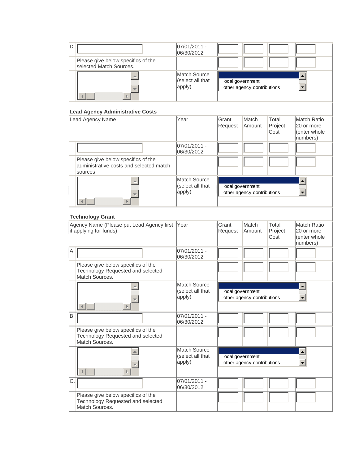| D. |                                                                                           | 07/01/2011 -<br>06/30/2012                        |                  |                            |                          |                                                              |  |
|----|-------------------------------------------------------------------------------------------|---------------------------------------------------|------------------|----------------------------|--------------------------|--------------------------------------------------------------|--|
|    | Please give below specifics of the<br>selected Match Sources.                             |                                                   |                  |                            |                          |                                                              |  |
|    |                                                                                           | <b>Match Source</b><br>(select all that<br>apply) | local government | other agency contributions |                          |                                                              |  |
|    | <b>Lead Agency Administrative Costs</b>                                                   |                                                   |                  |                            |                          |                                                              |  |
|    | Lead Agency Name                                                                          | Year                                              | Grant<br>Request | Match<br>Amount            | Total<br>Project<br>Cost | Match Ratio<br>20 or more<br>(enter whole<br>numbers)        |  |
|    |                                                                                           | 07/01/2011 -<br>06/30/2012                        |                  |                            |                          |                                                              |  |
|    | Please give below specifics of the<br>administrative costs and selected match<br>sources  |                                                   |                  |                            |                          |                                                              |  |
|    |                                                                                           | <b>Match Source</b><br>(select all that<br>apply) | local government | other agency contributions |                          | $\blacksquare$                                               |  |
|    | <b>Technology Grant</b>                                                                   |                                                   |                  |                            |                          |                                                              |  |
|    | Agency Name (Please put Lead Agency first<br>if applying for funds)                       | Year                                              | Grant<br>Request | Match<br>Amount            | Total<br>Project<br>Cost | <b>Match Ratio</b><br>20 or more<br>(enter whole<br>numbers) |  |
| A. |                                                                                           | 07/01/2011 -<br>06/30/2012                        |                  |                            |                          |                                                              |  |
|    | Please give below specifics of the<br>Technology Requested and selected<br>Match Sources. |                                                   |                  |                            |                          |                                                              |  |
|    |                                                                                           | <b>Match Source</b><br>(select all that<br>apply) | local government | other agency contributions |                          | A,                                                           |  |
| B. |                                                                                           | 07/01/2011 -<br>06/30/2012                        |                  |                            |                          |                                                              |  |
|    | Please give below specifics of the<br>Technology Requested and selected<br>Match Sources. |                                                   |                  |                            |                          |                                                              |  |
|    |                                                                                           | <b>Match Source</b><br>(select all that<br>apply) | local government | other agency contributions |                          | $\hat{\mathbf{z}}$<br>٠                                      |  |
| C. |                                                                                           | 07/01/2011 -<br>06/30/2012                        |                  |                            |                          |                                                              |  |
|    | Please give below specifics of the<br>Technology Requested and selected<br>Match Sources. |                                                   |                  |                            |                          |                                                              |  |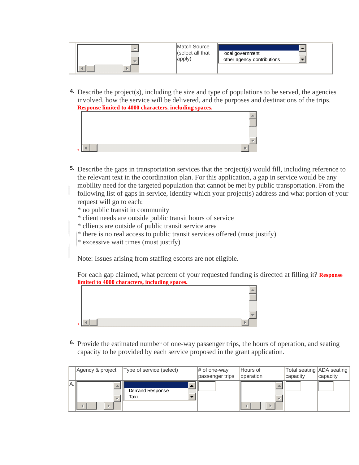|  | Match Source<br>(select all that<br>apply) | local government<br>other agency contributions<br><b>TANK</b> |
|--|--------------------------------------------|---------------------------------------------------------------|
|--|--------------------------------------------|---------------------------------------------------------------|

Describe the project(s), including the size and type of populations to be served, the agencies **4.**  involved, how the service will be delivered, and the purposes and destinations of the trips. **Response limited to 4000 characters, including spaces.**



- Describe the gaps in transportation services that the project(s) would fill, including reference to **5.**  the relevant text in the coordination plan. For this application, a gap in service would be any mobility need for the targeted population that cannot be met by public transportation. From the following list of gaps in service, identify which your project(s) address and what portion of your request will go to each:
	- \* no public transit in community
	- \* client needs are outside public transit hours of service
	- \* cllients are outside of public transit service area
	- \* there is no real access to public transit services offered (must justify)
	- $*$  excessive wait times (must justify)

Note: Issues arising from staffing escorts are not eligible.

For each gap claimed, what percent of your requested funding is directed at filling it? **Response limited to 4000 characters, including spaces.**



Provide the estimated number of one-way passenger trips, the hours of operation, and seating **6.**  capacity to be provided by each service proposed in the grant application.

|     | Agency & project | Type of service (select) | $\#$ of one-way<br>passenger trips | Hours of<br>loperation | Total seating  ADA seating  <br>capacity | capacity |
|-----|------------------|--------------------------|------------------------------------|------------------------|------------------------------------------|----------|
| IA. |                  | Demand Response<br>Taxi  |                                    |                        |                                          |          |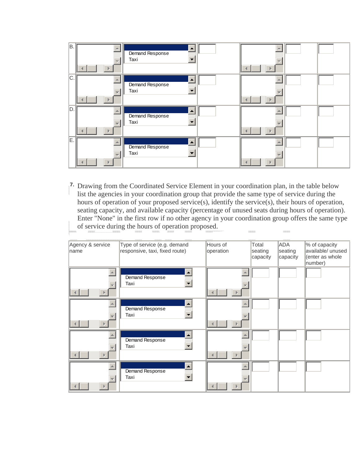| B.  | $\parallel$ | $\mathcal{L}$<br>Demand Response<br>Taxi | $\mathbb{R}% \left( \mathcal{M}\right) \equiv\mathbb{R}^{2}\left( \mathcal{M}\right) ^{\ast}\otimes\mathbb{R}^{2} \label{eq-qt:}%$ |
|-----|-------------|------------------------------------------|------------------------------------------------------------------------------------------------------------------------------------|
| lc. | $\parallel$ | $\sim$<br>Demand Response<br>Taxi        | D.                                                                                                                                 |
| D.  | $\parallel$ | $\Delta$<br>Demand Response<br>Taxi      | $\mathbb{R}$                                                                                                                       |
| İΕ. | D.          | $\sim$<br>Demand Response<br>Taxi        | Þ                                                                                                                                  |

7. Drawing from the Coordinated Service Element in your coordination plan, in the table below list the agencies in your coordination group that provide the same type of service during the hours of operation of your proposed service(s), identify the service(s), their hours of operation, seating capacity, and available capacity (percentage of unused seats during hours of operation). Enter "None" in the first row if no other agency in your coordination group offers the same type of service during the hours of operation proposed.  $1000000$ 

| Agency & service<br>name | Type of service (e.g. demand<br>responsive, taxi, fixed route)       | Hours of<br>operation | Total<br>seating<br>capacity | ADA<br>seating<br>capacity | % of capacity<br>available/ unused<br>(enter as whole<br>number) |
|--------------------------|----------------------------------------------------------------------|-----------------------|------------------------------|----------------------------|------------------------------------------------------------------|
| $\parallel$              | $\Delta \omega$<br>Demand Response<br>$\left  \cdot \right $<br>Taxi | D.                    |                              |                            |                                                                  |
| Þ                        | $\blacksquare$<br>Demand Response<br>$\blacksquare$<br>Taxi          | Þ                     |                              |                            |                                                                  |
| p.                       | $\Delta$<br>Demand Response<br>$\left  \cdot \right $<br>Taxi        |                       |                              |                            |                                                                  |
|                          | $\Delta$<br><b>Demand Response</b><br>$\blacksquare$<br>Taxi         |                       |                              |                            |                                                                  |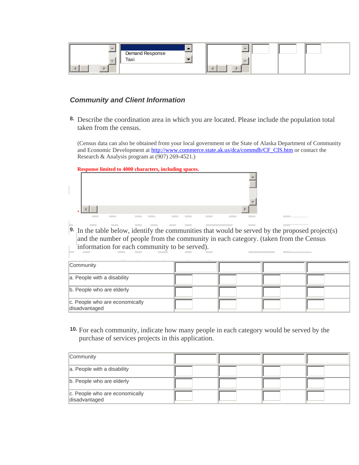

### *Community and Client Information*

Describe the coordination area in which you are located. Please include the population total **8.**  taken from the census.

(Census data can also be obtained from your local government or the State of Alaska Department of Community and Economic Development at [http://www.commerce.state.ak.us/dca/commdb/CF\\_CIS.htm](http://www.commerce.state.ak.us/dca/commdb/CF_CIS.htm) or contact the Research & Analysis program at (907) 269-4521.)

**Response limited to 4000 characters, including spaces.**



In the table below, identify the communities that would be served by the proposed project(s) **9.**  and the number of people from the community in each category. (taken from the Census information for each community to be served).

| Community                                       |  |  |
|-------------------------------------------------|--|--|
| a. People with a disability                     |  |  |
| b. People who are elderly                       |  |  |
| c. People who are economically<br>disadvantaged |  |  |

**10.** For each community, indicate how many people in each category would be served by the purchase of services projects in this application.

| Community                                       |  |  |
|-------------------------------------------------|--|--|
| a. People with a disability                     |  |  |
| b. People who are elderly                       |  |  |
| c. People who are economically<br>disadvantaged |  |  |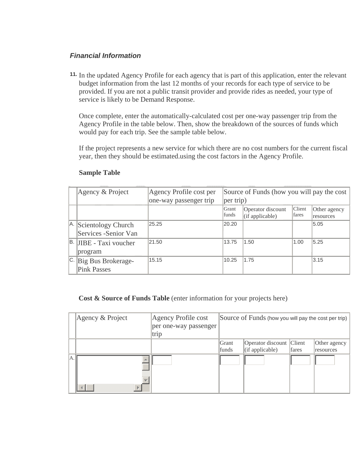## *Financial Information*

**11.** In the updated Agency Profile for each agency that is part of this application, enter the relevant budget information from the last 12 months of your records for each type of service to be provided. If you are not a public transit provider and provide rides as needed, your type of service is likely to be Demand Response.

Once complete, enter the automatically-calculated cost per one-way passenger trip from the Agency Profile in the table below. Then, show the breakdown of the sources of funds which would pay for each trip. See the sample table below.

If the project represents a new service for which there are no cost numbers for the current fiscal year, then they should be estimated.using the cost factors in the Agency Profile.

|    | Agency & Project                               | Agency Profile cost per<br>one-way passenger trip | Source of Funds (how you will pay the cost<br> per trip) |                                      |                        |                           |
|----|------------------------------------------------|---------------------------------------------------|----------------------------------------------------------|--------------------------------------|------------------------|---------------------------|
|    |                                                |                                                   | Grant<br>funds                                           | Operator discount<br>(if applicable) | <b>Client</b><br>fares | Other agency<br>resources |
|    | A. Scientology Church<br>Services - Senior Van | 25.25                                             | 20.20                                                    |                                      |                        | 5.05                      |
|    | B. JIBE - Taxi voucher<br>program              | 21.50                                             | 13.75                                                    | 1.50                                 | 1.00                   | 5.25                      |
| C. | Big Bus Brokerage-<br><b>Pink Passes</b>       | 15.15                                             | 10.25                                                    | 1.75                                 |                        | 3.15                      |

### **Sample Table**

**Cost & Source of Funds Table** (enter information for your projects here)

|     | Agency & Project | Agency Profile cost   |       | Source of Funds (how you will pay the cost per trip) |       |              |
|-----|------------------|-----------------------|-------|------------------------------------------------------|-------|--------------|
|     |                  | per one-way passenger |       |                                                      |       |              |
|     |                  | trip                  |       |                                                      |       |              |
|     |                  |                       | Grant | Operator discount Client                             |       | Other agency |
|     |                  |                       | funds | $($ if applicable $)$                                | fares | resources    |
| IA. | ь                |                       |       |                                                      |       |              |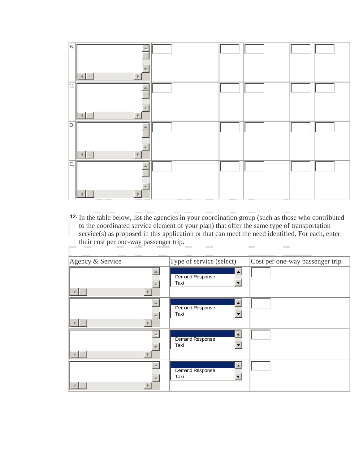

**12.** In the table below, list the agencies in your coordination group (such as those who contributed to the coordinated service element of your plan) that offer the same type of transportation service(s) as proposed in this application or that can meet the need identified. For each, enter their cost per one-way passenger trip. 

| Agency & Service | Type of service (select) | Cost per one-way passenger trip |
|------------------|--------------------------|---------------------------------|
|                  | Demand Response<br>Taxi  |                                 |
|                  | Demand Response<br>Taxi  |                                 |
|                  | Demand Response<br>Taxi  |                                 |
|                  | Demand Response<br>Taxi  |                                 |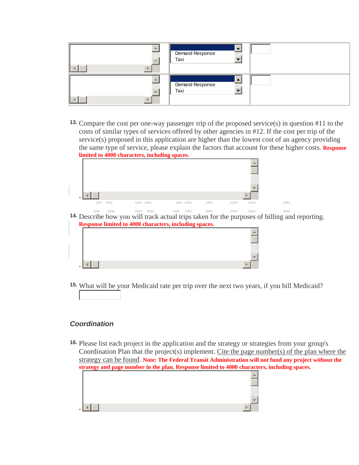| Demand Response<br>Taxi |  |
|-------------------------|--|
| Demand Response<br>Taxi |  |

**13.** Compare the cost per one-way passenger trip of the proposed service(s) in question #11 to the costs of similar types of services offered by other agencies in #12. If the cost per trip of the service(s) proposed in this application are higher than the lowest cost of an agency providing the same type of service, please explain the factors that account for these higher costs. **Response limited to 4000 characters, including spaces.**



 $\frac{1}{2} \frac{\left\| \left( \frac{1}{2} \right)^2 - \left( \frac{1}{2} \right)^2 \right\|_2}{\left\| \left( \frac{1}{2} \right)^2 - \left( \frac{1}{2} \right)^2 \right\|_2^2}$  $\qquad \qquad \text{where} \qquad$  $\mu$  $\sim$ **14.** Describe how you will track actual trips taken for the purposes of billing and reporting. **Response limited to 4000 characters, including spaces.**

**15.** What will be your Medicaid rate per trip over the next two years, if you bill Medicaid?

## *Coordination*

**16.** Please list each project in the application and the strategy or strategies from your group's Coordination Plan that the project(s) implement. Cite the page number(s) of the plan where the strategy can be found. **Note: The Federal Transit Administration will not fund any project without the strategy and page number in the plan. Response limited to 4000 characters, including spaces.**

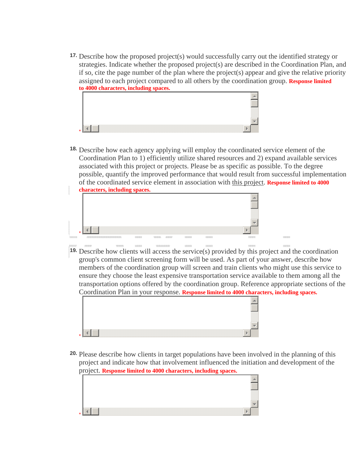**17.** Describe how the proposed project(s) would successfully carry out the identified strategy or strategies. Indicate whether the proposed project(s) are described in the Coordination Plan, and if so, cite the page number of the plan where the project(s) appear and give the relative priority assigned to each project compared to all others by the coordination group. **Response limited to 4000 characters, including spaces.**



**18.** Describe how each agency applying will employ the coordinated service element of the Coordination Plan to 1) efficiently utilize shared resources and 2) expand available services associated with this project or projects. Please be as specific as possible. To the degree possible, quantify the improved performance that would result from successful implementation of the coordinated service element in association with this project. **Response limited to 4000 characters, including spaces.**



**Market Modern** 

**19.** Describe how clients will access the service(s) provided by this project and the coordination group's common client screening form will be used. As part of your answer, describe how members of the coordination group will screen and train clients who might use this service to ensure they choose the least expensive transportation service available to them among all the transportation options offered by the coordination group. Reference appropriate sections of the Coordination Plan in your response. **Response limited to 4000 characters, including spaces.**

22/23/23



**20.** Please describe how clients in target populations have been involved in the planning of this project and indicate how that involvement influenced the initiation and development of the project. **Response limited to 4000 characters, including spaces.**